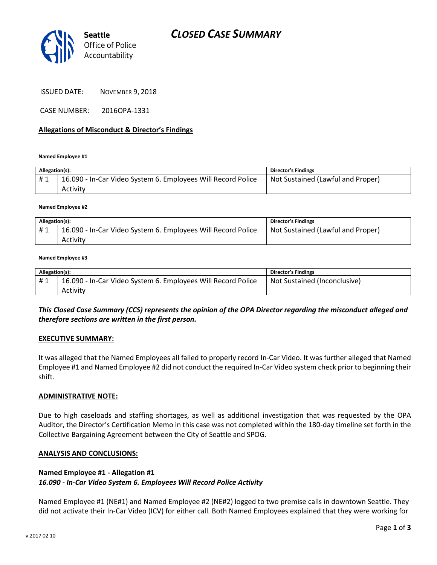

ISSUED DATE: NOVEMBER 9, 2018

CASE NUMBER: 2016OPA-1331

### **Allegations of Misconduct & Director's Findings**

**Named Employee #1**

| Allegation(s): |                                                              | <b>Director's Findings</b>        |
|----------------|--------------------------------------------------------------|-----------------------------------|
| #1             | 16.090 - In-Car Video System 6. Employees Will Record Police | Not Sustained (Lawful and Proper) |
|                | Activity                                                     |                                   |

**Named Employee #2**

| Allegation(s): |                                                              | Director's Findings               |
|----------------|--------------------------------------------------------------|-----------------------------------|
| #1             | 16.090 - In-Car Video System 6. Employees Will Record Police | Not Sustained (Lawful and Proper) |
|                | Activity                                                     |                                   |

#### **Named Employee #3**

| Allegation(s): |                                                              | Director's Findings          |
|----------------|--------------------------------------------------------------|------------------------------|
|                | 16.090 - In-Car Video System 6. Employees Will Record Police | Not Sustained (Inconclusive) |
|                | Activity                                                     |                              |

*This Closed Case Summary (CCS) represents the opinion of the OPA Director regarding the misconduct alleged and therefore sections are written in the first person.* 

### **EXECUTIVE SUMMARY:**

It was alleged that the Named Employees all failed to properly record In-Car Video. It was further alleged that Named Employee #1 and Named Employee #2 did not conduct the required In-Car Video system check prior to beginning their shift.

### **ADMINISTRATIVE NOTE:**

Due to high caseloads and staffing shortages, as well as additional investigation that was requested by the OPA Auditor, the Director's Certification Memo in this case was not completed within the 180-day timeline set forth in the Collective Bargaining Agreement between the City of Seattle and SPOG.

### **ANALYSIS AND CONCLUSIONS:**

## **Named Employee #1 - Allegation #1**

### *16.090 - In-Car Video System 6. Employees Will Record Police Activity*

Named Employee #1 (NE#1) and Named Employee #2 (NE#2) logged to two premise calls in downtown Seattle. They did not activate their In-Car Video (ICV) for either call. Both Named Employees explained that they were working for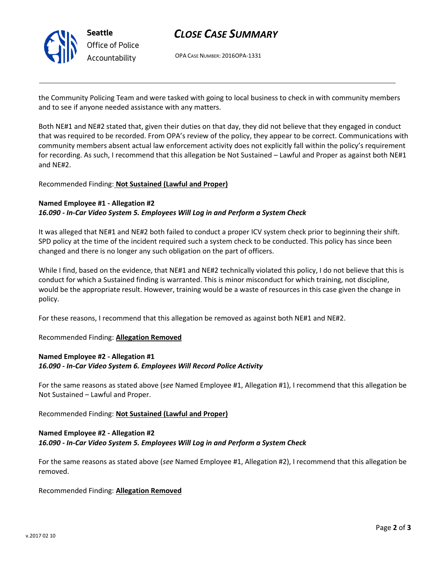

# *CLOSE CASE SUMMARY*

OPA CASE NUMBER: 2016OPA-1331

the Community Policing Team and were tasked with going to local business to check in with community members and to see if anyone needed assistance with any matters.

Both NE#1 and NE#2 stated that, given their duties on that day, they did not believe that they engaged in conduct that was required to be recorded. From OPA's review of the policy, they appear to be correct. Communications with community members absent actual law enforcement activity does not explicitly fall within the policy's requirement for recording. As such, I recommend that this allegation be Not Sustained – Lawful and Proper as against both NE#1 and NE#2.

### Recommended Finding: **Not Sustained (Lawful and Proper)**

### **Named Employee #1 - Allegation #2** *16.090 - In-Car Video System 5. Employees Will Log in and Perform a System Check*

It was alleged that NE#1 and NE#2 both failed to conduct a proper ICV system check prior to beginning their shift. SPD policy at the time of the incident required such a system check to be conducted. This policy has since been changed and there is no longer any such obligation on the part of officers.

While I find, based on the evidence, that NE#1 and NE#2 technically violated this policy, I do not believe that this is conduct for which a Sustained finding is warranted. This is minor misconduct for which training, not discipline, would be the appropriate result. However, training would be a waste of resources in this case given the change in policy.

For these reasons, I recommend that this allegation be removed as against both NE#1 and NE#2.

Recommended Finding: **Allegation Removed**

## **Named Employee #2 - Allegation #1** *16.090 - In-Car Video System 6. Employees Will Record Police Activity*

For the same reasons as stated above (*see* Named Employee #1, Allegation #1), I recommend that this allegation be Not Sustained – Lawful and Proper.

Recommended Finding: **Not Sustained (Lawful and Proper)**

## **Named Employee #2 - Allegation #2** *16.090 - In-Car Video System 5. Employees Will Log in and Perform a System Check*

For the same reasons as stated above (*see* Named Employee #1, Allegation #2), I recommend that this allegation be removed.

Recommended Finding: **Allegation Removed**